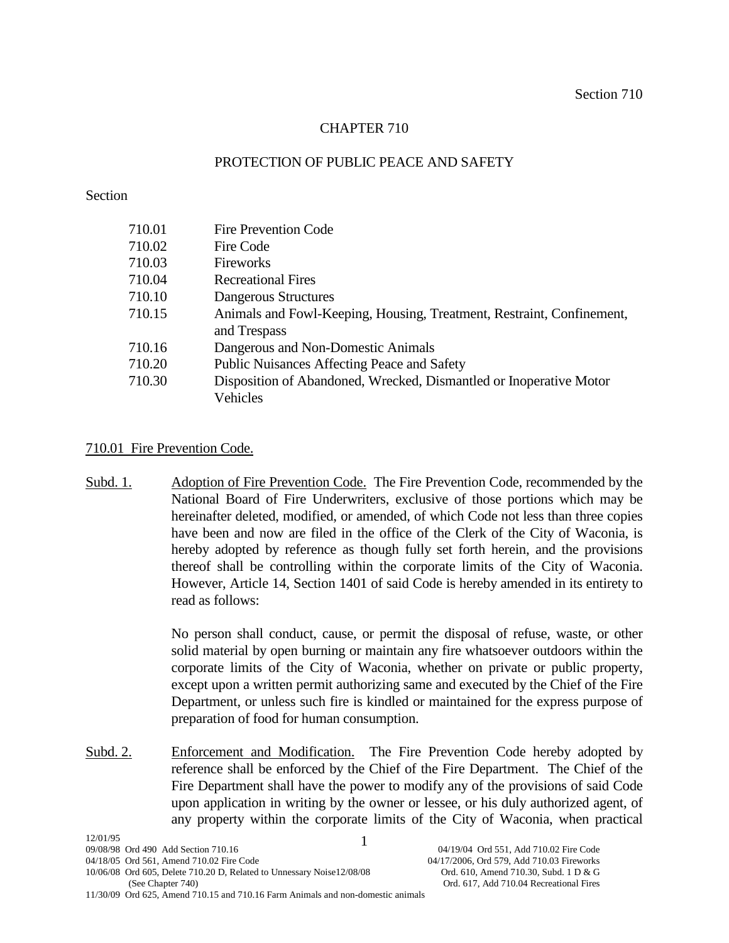# CHAPTER 710

# PROTECTION OF PUBLIC PEACE AND SAFETY

## Section

| 710.01 | <b>Fire Prevention Code</b>                                           |  |
|--------|-----------------------------------------------------------------------|--|
| 710.02 | Fire Code                                                             |  |
| 710.03 | Fireworks                                                             |  |
| 710.04 | <b>Recreational Fires</b>                                             |  |
| 710.10 | Dangerous Structures                                                  |  |
| 710.15 | Animals and Fowl-Keeping, Housing, Treatment, Restraint, Confinement, |  |
|        | and Trespass                                                          |  |
| 710.16 | Dangerous and Non-Domestic Animals                                    |  |
| 710.20 | Public Nuisances Affecting Peace and Safety                           |  |
| 710.30 | Disposition of Abandoned, Wrecked, Dismantled or Inoperative Motor    |  |
|        | Vehicles                                                              |  |

# 710.01 Fire Prevention Code.

Subd. 1. Adoption of Fire Prevention Code. The Fire Prevention Code, recommended by the National Board of Fire Underwriters, exclusive of those portions which may be hereinafter deleted, modified, or amended, of which Code not less than three copies have been and now are filed in the office of the Clerk of the City of Waconia, is hereby adopted by reference as though fully set forth herein, and the provisions thereof shall be controlling within the corporate limits of the City of Waconia. However, Article 14, Section 1401 of said Code is hereby amended in its entirety to read as follows:

> No person shall conduct, cause, or permit the disposal of refuse, waste, or other solid material by open burning or maintain any fire whatsoever outdoors within the corporate limits of the City of Waconia, whether on private or public property, except upon a written permit authorizing same and executed by the Chief of the Fire Department, or unless such fire is kindled or maintained for the express purpose of preparation of food for human consumption.

Subd. 2. Enforcement and Modification. The Fire Prevention Code hereby adopted by reference shall be enforced by the Chief of the Fire Department. The Chief of the Fire Department shall have the power to modify any of the provisions of said Code upon application in writing by the owner or lessee, or his duly authorized agent, of any property within the corporate limits of the City of Waconia, when practical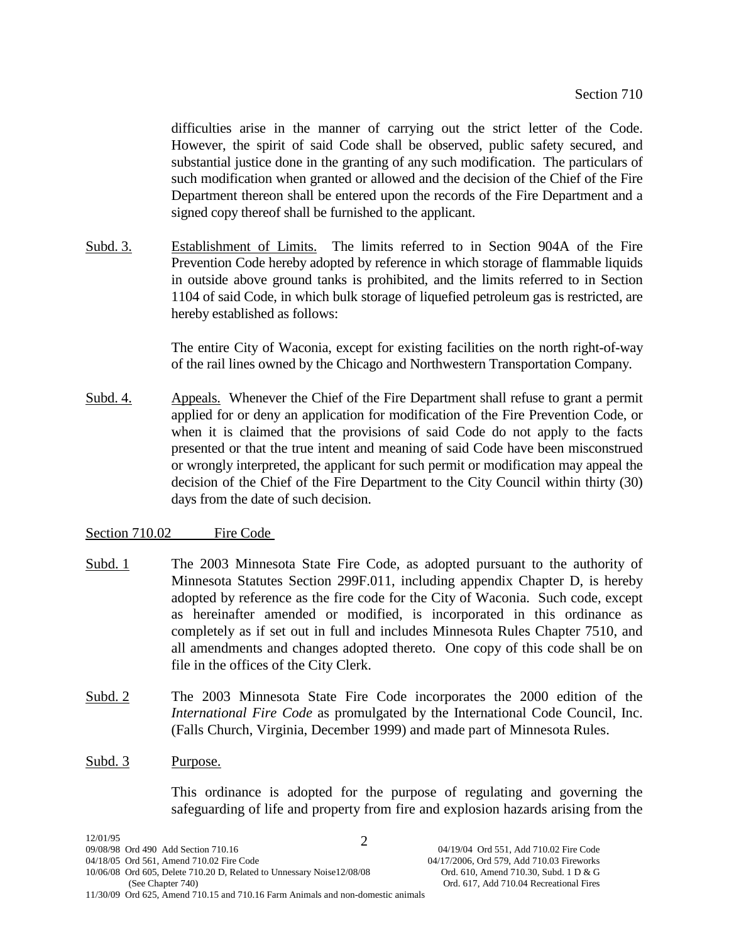difficulties arise in the manner of carrying out the strict letter of the Code. However, the spirit of said Code shall be observed, public safety secured, and substantial justice done in the granting of any such modification. The particulars of such modification when granted or allowed and the decision of the Chief of the Fire Department thereon shall be entered upon the records of the Fire Department and a signed copy thereof shall be furnished to the applicant.

Subd. 3. Establishment of Limits. The limits referred to in Section 904A of the Fire Prevention Code hereby adopted by reference in which storage of flammable liquids in outside above ground tanks is prohibited, and the limits referred to in Section 1104 of said Code, in which bulk storage of liquefied petroleum gas is restricted, are hereby established as follows:

> The entire City of Waconia, except for existing facilities on the north right-of-way of the rail lines owned by the Chicago and Northwestern Transportation Company.

Subd. 4. Appeals. Whenever the Chief of the Fire Department shall refuse to grant a permit applied for or deny an application for modification of the Fire Prevention Code, or when it is claimed that the provisions of said Code do not apply to the facts presented or that the true intent and meaning of said Code have been misconstrued or wrongly interpreted, the applicant for such permit or modification may appeal the decision of the Chief of the Fire Department to the City Council within thirty (30) days from the date of such decision.

# Section 710.02 Fire Code

- Subd. 1 The 2003 Minnesota State Fire Code, as adopted pursuant to the authority of Minnesota Statutes Section 299F.011, including appendix Chapter D, is hereby adopted by reference as the fire code for the City of Waconia. Such code, except as hereinafter amended or modified, is incorporated in this ordinance as completely as if set out in full and includes Minnesota Rules Chapter 7510, and all amendments and changes adopted thereto. One copy of this code shall be on file in the offices of the City Clerk.
- Subd. 2 The 2003 Minnesota State Fire Code incorporates the 2000 edition of the *International Fire Code* as promulgated by the International Code Council, Inc. (Falls Church, Virginia, December 1999) and made part of Minnesota Rules.

## Subd. 3 Purpose.

This ordinance is adopted for the purpose of regulating and governing the safeguarding of life and property from fire and explosion hazards arising from the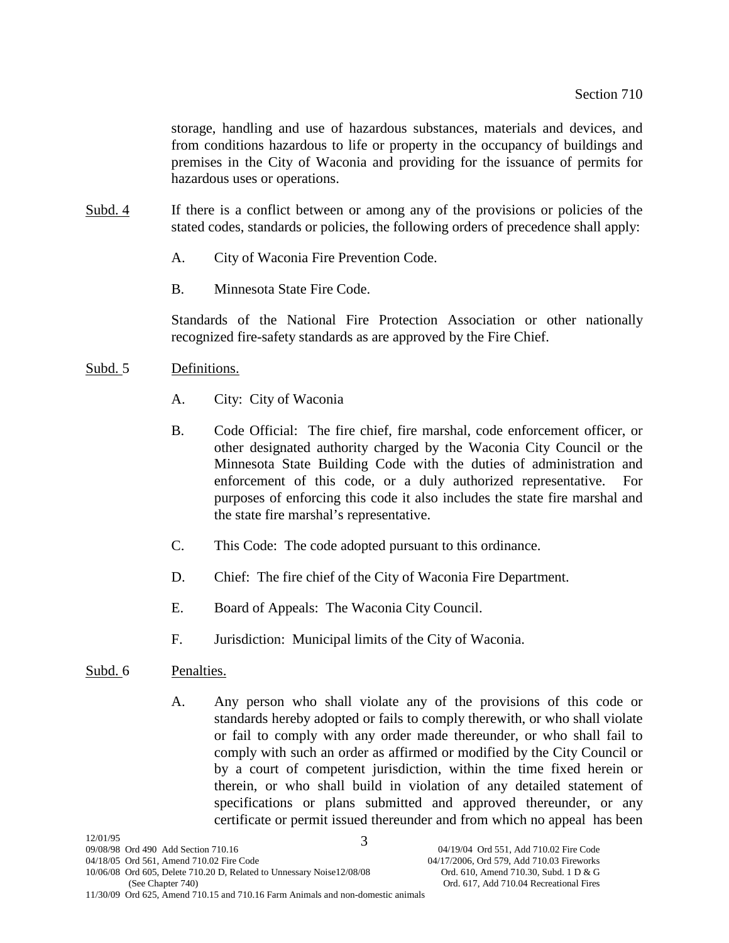storage, handling and use of hazardous substances, materials and devices, and from conditions hazardous to life or property in the occupancy of buildings and premises in the City of Waconia and providing for the issuance of permits for hazardous uses or operations.

- Subd. 4 If there is a conflict between or among any of the provisions or policies of the stated codes, standards or policies, the following orders of precedence shall apply:
	- A. City of Waconia Fire Prevention Code.
	- B. Minnesota State Fire Code.

Standards of the National Fire Protection Association or other nationally recognized fire-safety standards as are approved by the Fire Chief.

# Subd. 5 Definitions.

- A. City: City of Waconia
- B. Code Official: The fire chief, fire marshal, code enforcement officer, or other designated authority charged by the Waconia City Council or the Minnesota State Building Code with the duties of administration and enforcement of this code, or a duly authorized representative. For purposes of enforcing this code it also includes the state fire marshal and the state fire marshal's representative.
- C. This Code: The code adopted pursuant to this ordinance.
- D. Chief: The fire chief of the City of Waconia Fire Department.
- E. Board of Appeals: The Waconia City Council.
- F. Jurisdiction: Municipal limits of the City of Waconia.

# Subd. 6 Penalties.

A. Any person who shall violate any of the provisions of this code or standards hereby adopted or fails to comply therewith, or who shall violate or fail to comply with any order made thereunder, or who shall fail to comply with such an order as affirmed or modified by the City Council or by a court of competent jurisdiction, within the time fixed herein or therein, or who shall build in violation of any detailed statement of specifications or plans submitted and approved thereunder, or any certificate or permit issued thereunder and from which no appeal has been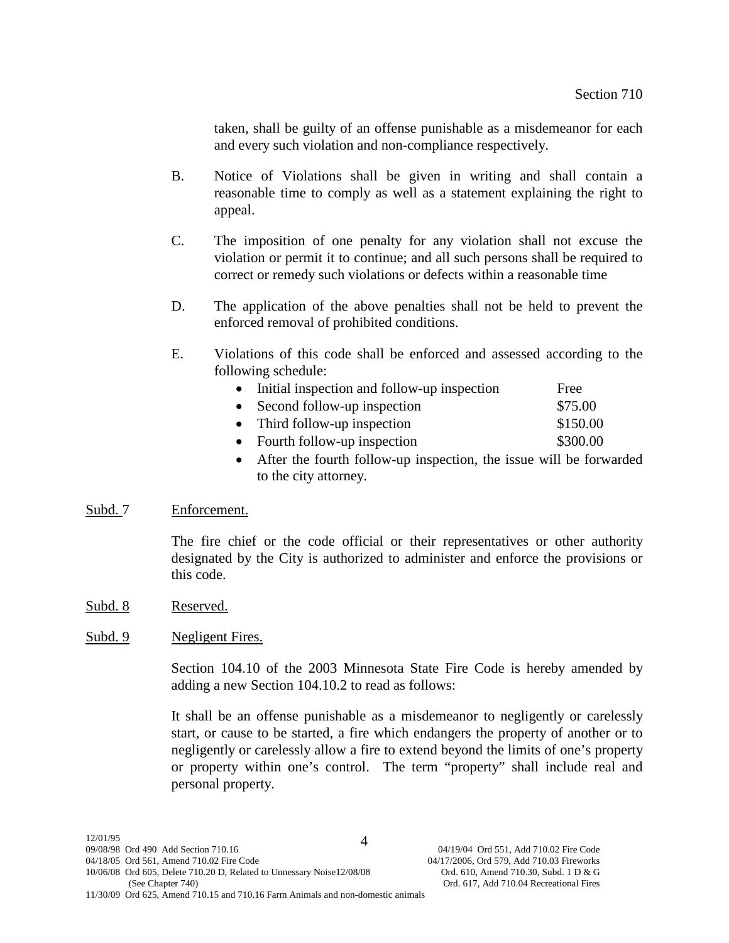taken, shall be guilty of an offense punishable as a misdemeanor for each and every such violation and non-compliance respectively.

- B. Notice of Violations shall be given in writing and shall contain a reasonable time to comply as well as a statement explaining the right to appeal.
- C. The imposition of one penalty for any violation shall not excuse the violation or permit it to continue; and all such persons shall be required to correct or remedy such violations or defects within a reasonable time
- D. The application of the above penalties shall not be held to prevent the enforced removal of prohibited conditions.
- E. Violations of this code shall be enforced and assessed according to the following schedule:

| • Initial inspection and follow-up inspection | Free     |
|-----------------------------------------------|----------|
| $\bullet$ Second follow-up inspection         | \$75.00  |
| • Third follow-up inspection                  | \$150.00 |
| • Fourth follow-up inspection                 | \$300.00 |

• After the fourth follow-up inspection, the issue will be forwarded to the city attorney.

# Subd. 7 Enforcement.

The fire chief or the code official or their representatives or other authority designated by the City is authorized to administer and enforce the provisions or this code.

Subd. 8 Reserved.

# Subd. 9 Negligent Fires.

Section 104.10 of the 2003 Minnesota State Fire Code is hereby amended by adding a new Section 104.10.2 to read as follows:

It shall be an offense punishable as a misdemeanor to negligently or carelessly start, or cause to be started, a fire which endangers the property of another or to negligently or carelessly allow a fire to extend beyond the limits of one's property or property within one's control. The term "property" shall include real and personal property.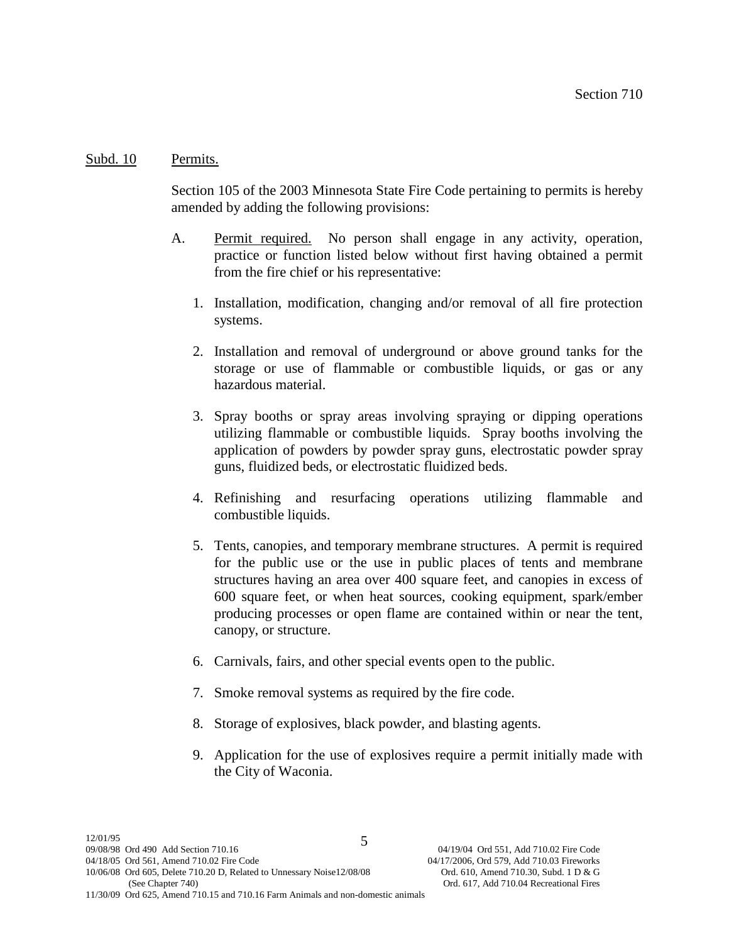#### Subd. 10 Permits.

Section 105 of the 2003 Minnesota State Fire Code pertaining to permits is hereby amended by adding the following provisions:

- A. Permit required. No person shall engage in any activity, operation, practice or function listed below without first having obtained a permit from the fire chief or his representative:
	- 1. Installation, modification, changing and/or removal of all fire protection systems.
	- 2. Installation and removal of underground or above ground tanks for the storage or use of flammable or combustible liquids, or gas or any hazardous material.
	- 3. Spray booths or spray areas involving spraying or dipping operations utilizing flammable or combustible liquids. Spray booths involving the application of powders by powder spray guns, electrostatic powder spray guns, fluidized beds, or electrostatic fluidized beds.
	- 4. Refinishing and resurfacing operations utilizing flammable and combustible liquids.
	- 5. Tents, canopies, and temporary membrane structures. A permit is required for the public use or the use in public places of tents and membrane structures having an area over 400 square feet, and canopies in excess of 600 square feet, or when heat sources, cooking equipment, spark/ember producing processes or open flame are contained within or near the tent, canopy, or structure.
	- 6. Carnivals, fairs, and other special events open to the public.
	- 7. Smoke removal systems as required by the fire code.
	- 8. Storage of explosives, black powder, and blasting agents.
	- 9. Application for the use of explosives require a permit initially made with the City of Waconia.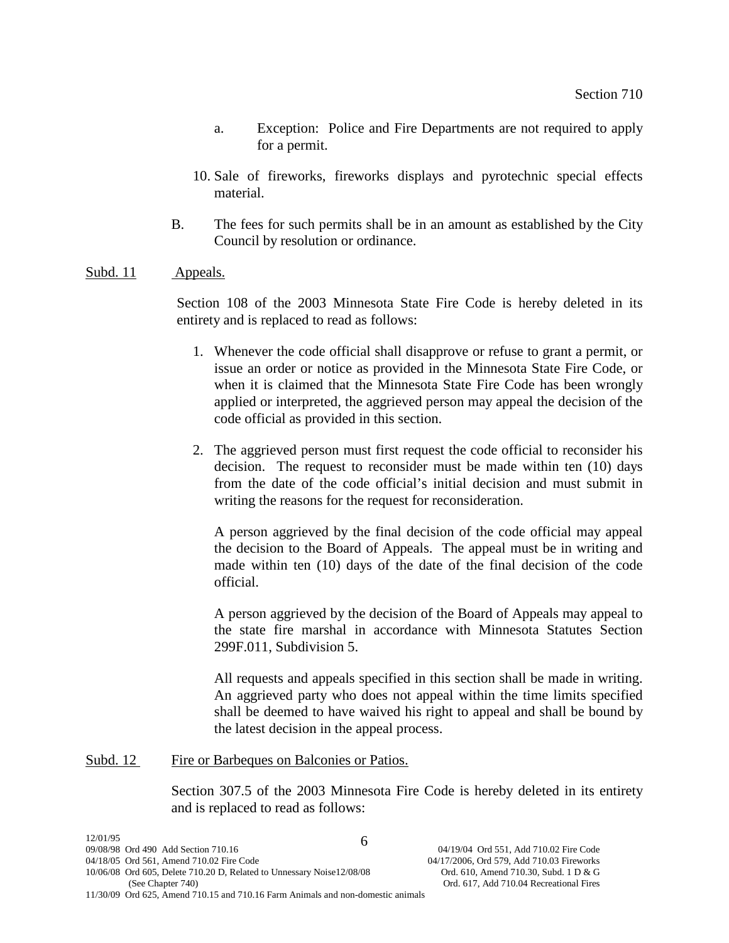- a. Exception: Police and Fire Departments are not required to apply for a permit.
- 10. Sale of fireworks, fireworks displays and pyrotechnic special effects material.
- B. The fees for such permits shall be in an amount as established by the City Council by resolution or ordinance.

# Subd. 11 Appeals.

Section 108 of the 2003 Minnesota State Fire Code is hereby deleted in its entirety and is replaced to read as follows:

- 1. Whenever the code official shall disapprove or refuse to grant a permit, or issue an order or notice as provided in the Minnesota State Fire Code, or when it is claimed that the Minnesota State Fire Code has been wrongly applied or interpreted, the aggrieved person may appeal the decision of the code official as provided in this section.
- 2. The aggrieved person must first request the code official to reconsider his decision. The request to reconsider must be made within ten (10) days from the date of the code official's initial decision and must submit in writing the reasons for the request for reconsideration.

A person aggrieved by the final decision of the code official may appeal the decision to the Board of Appeals. The appeal must be in writing and made within ten (10) days of the date of the final decision of the code official.

A person aggrieved by the decision of the Board of Appeals may appeal to the state fire marshal in accordance with Minnesota Statutes Section 299F.011, Subdivision 5.

All requests and appeals specified in this section shall be made in writing. An aggrieved party who does not appeal within the time limits specified shall be deemed to have waived his right to appeal and shall be bound by the latest decision in the appeal process.

# Subd. 12 Fire or Barbeques on Balconies or Patios.

Section 307.5 of the 2003 Minnesota Fire Code is hereby deleted in its entirety and is replaced to read as follows: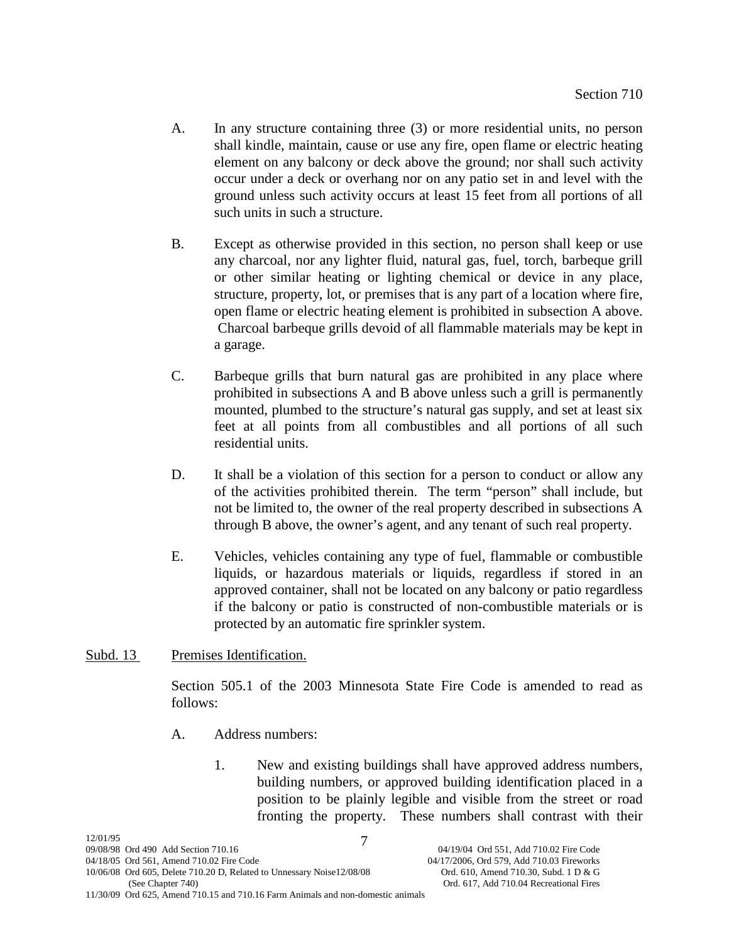- A. In any structure containing three (3) or more residential units, no person shall kindle, maintain, cause or use any fire, open flame or electric heating element on any balcony or deck above the ground; nor shall such activity occur under a deck or overhang nor on any patio set in and level with the ground unless such activity occurs at least 15 feet from all portions of all such units in such a structure.
- B. Except as otherwise provided in this section, no person shall keep or use any charcoal, nor any lighter fluid, natural gas, fuel, torch, barbeque grill or other similar heating or lighting chemical or device in any place, structure, property, lot, or premises that is any part of a location where fire, open flame or electric heating element is prohibited in subsection A above. Charcoal barbeque grills devoid of all flammable materials may be kept in a garage.
- C. Barbeque grills that burn natural gas are prohibited in any place where prohibited in subsections A and B above unless such a grill is permanently mounted, plumbed to the structure's natural gas supply, and set at least six feet at all points from all combustibles and all portions of all such residential units.
- D. It shall be a violation of this section for a person to conduct or allow any of the activities prohibited therein. The term "person" shall include, but not be limited to, the owner of the real property described in subsections A through B above, the owner's agent, and any tenant of such real property.
- E. Vehicles, vehicles containing any type of fuel, flammable or combustible liquids, or hazardous materials or liquids, regardless if stored in an approved container, shall not be located on any balcony or patio regardless if the balcony or patio is constructed of non-combustible materials or is protected by an automatic fire sprinkler system.

# Subd. 13 Premises Identification.

Section 505.1 of the 2003 Minnesota State Fire Code is amended to read as follows:

- A. Address numbers:
	- 1. New and existing buildings shall have approved address numbers, building numbers, or approved building identification placed in a position to be plainly legible and visible from the street or road fronting the property. These numbers shall contrast with their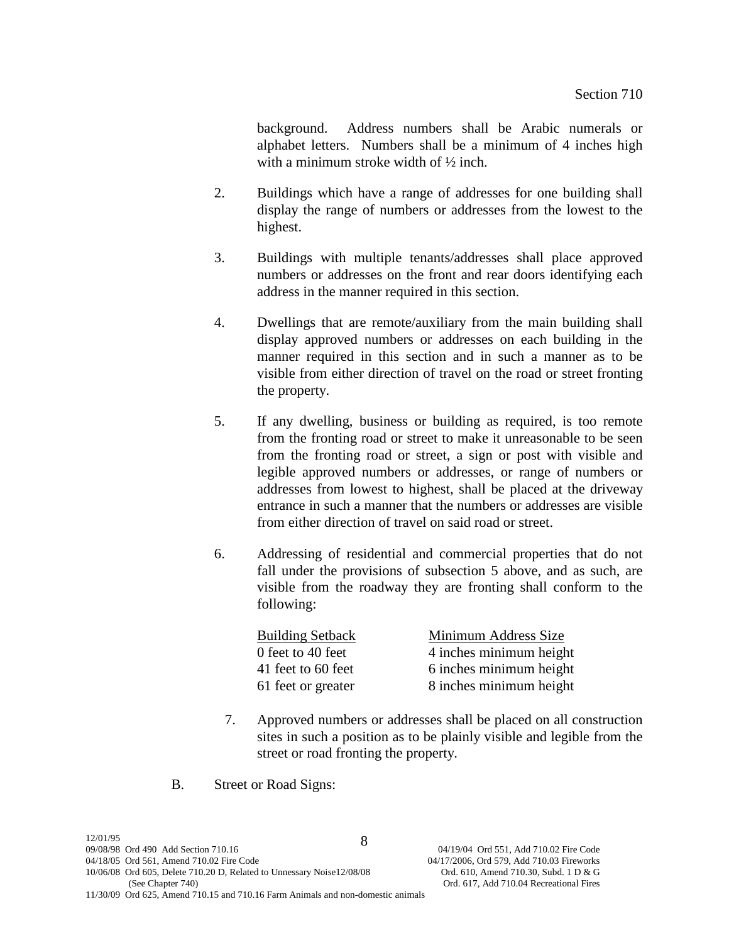background. Address numbers shall be Arabic numerals or alphabet letters. Numbers shall be a minimum of 4 inches high with a minimum stroke width of ½ inch.

- 2. Buildings which have a range of addresses for one building shall display the range of numbers or addresses from the lowest to the highest.
- 3. Buildings with multiple tenants/addresses shall place approved numbers or addresses on the front and rear doors identifying each address in the manner required in this section.
- 4. Dwellings that are remote/auxiliary from the main building shall display approved numbers or addresses on each building in the manner required in this section and in such a manner as to be visible from either direction of travel on the road or street fronting the property.
- 5. If any dwelling, business or building as required, is too remote from the fronting road or street to make it unreasonable to be seen from the fronting road or street, a sign or post with visible and legible approved numbers or addresses, or range of numbers or addresses from lowest to highest, shall be placed at the driveway entrance in such a manner that the numbers or addresses are visible from either direction of travel on said road or street.
- 6. Addressing of residential and commercial properties that do not fall under the provisions of subsection 5 above, and as such, are visible from the roadway they are fronting shall conform to the following:

| <b>Building Setback</b> | Minimum Address Size    |
|-------------------------|-------------------------|
| 0 feet to 40 feet       | 4 inches minimum height |
| 41 feet to 60 feet      | 6 inches minimum height |
| 61 feet or greater      | 8 inches minimum height |

- 7. Approved numbers or addresses shall be placed on all construction sites in such a position as to be plainly visible and legible from the street or road fronting the property.
- B. Street or Road Signs: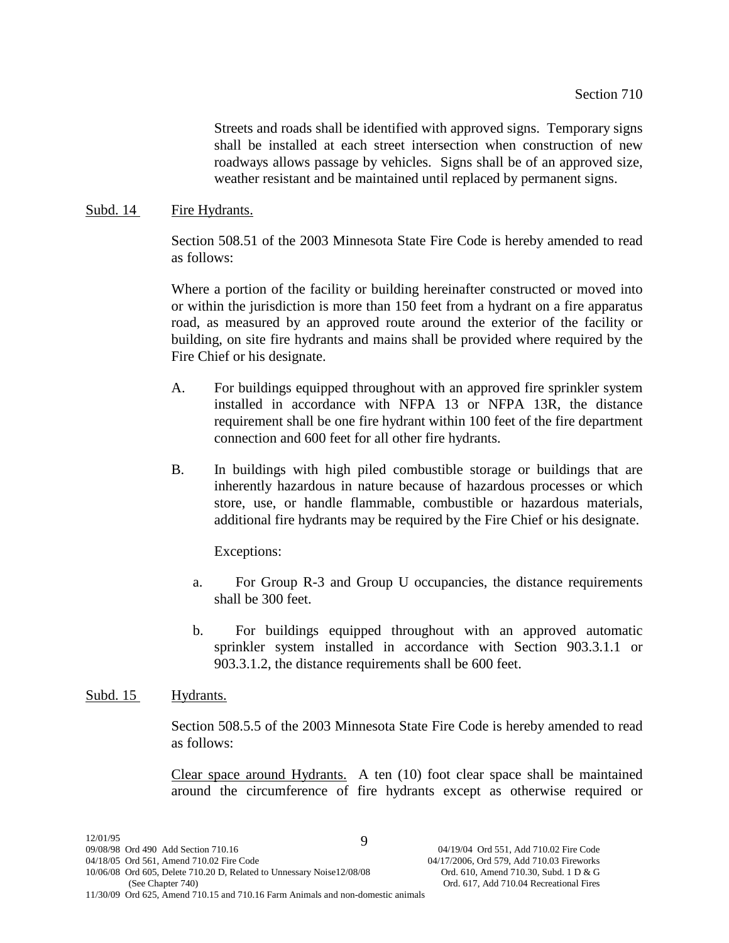Streets and roads shall be identified with approved signs. Temporary signs shall be installed at each street intersection when construction of new roadways allows passage by vehicles. Signs shall be of an approved size, weather resistant and be maintained until replaced by permanent signs.

#### Subd. 14 Fire Hydrants.

Section 508.51 of the 2003 Minnesota State Fire Code is hereby amended to read as follows:

Where a portion of the facility or building hereinafter constructed or moved into or within the jurisdiction is more than 150 feet from a hydrant on a fire apparatus road, as measured by an approved route around the exterior of the facility or building, on site fire hydrants and mains shall be provided where required by the Fire Chief or his designate.

- A. For buildings equipped throughout with an approved fire sprinkler system installed in accordance with NFPA 13 or NFPA 13R, the distance requirement shall be one fire hydrant within 100 feet of the fire department connection and 600 feet for all other fire hydrants.
- B. In buildings with high piled combustible storage or buildings that are inherently hazardous in nature because of hazardous processes or which store, use, or handle flammable, combustible or hazardous materials, additional fire hydrants may be required by the Fire Chief or his designate.

Exceptions:

- a. For Group R-3 and Group U occupancies, the distance requirements shall be 300 feet.
- b. For buildings equipped throughout with an approved automatic sprinkler system installed in accordance with Section 903.3.1.1 or 903.3.1.2, the distance requirements shall be 600 feet.

# Subd. 15 Hydrants.

Section 508.5.5 of the 2003 Minnesota State Fire Code is hereby amended to read as follows:

Clear space around Hydrants. A ten (10) foot clear space shall be maintained around the circumference of fire hydrants except as otherwise required or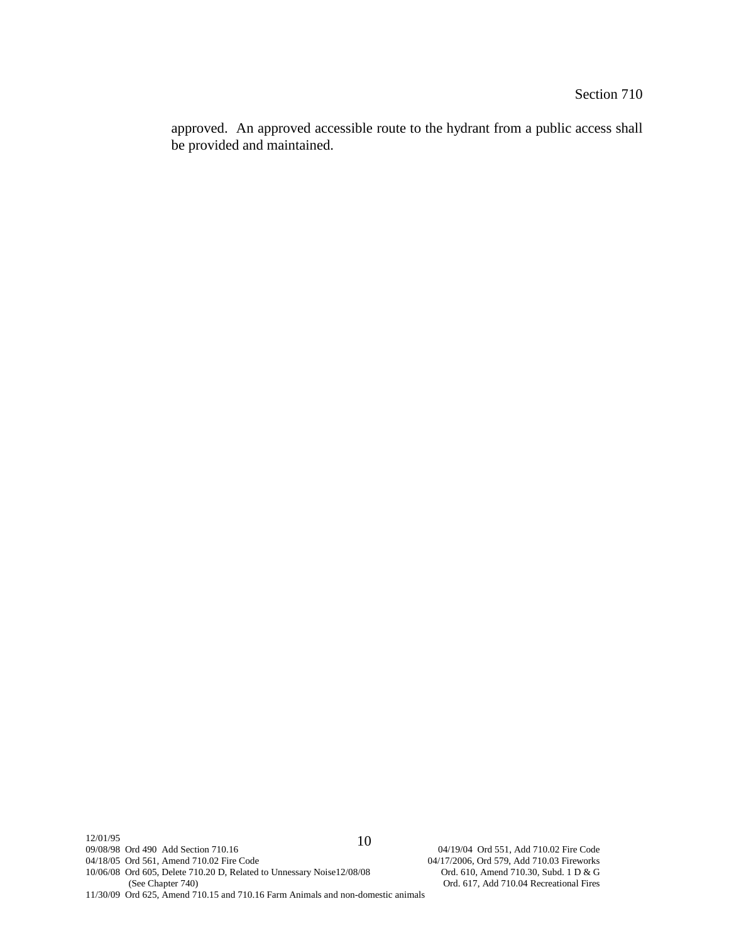approved. An approved accessible route to the hydrant from a public access shall be provided and maintained.

12/01/95<br>09/08/98 Ord 490 Add Section 710.16 04/18/05 Ord 561, Amend 710.02 Fire Code 04/17/2006, Ord 579, Add 710.03 Fireworks 10/06/08 Ord 605, Delete 710.20 D, Related to Unnessary Noise12/08/08 Ord 610, Amend 710.30, Subd. 1 D & G 10/06/08 Ord 605, Delete 710.20 D, Related to Unnessary Noise12/08/08 (See Chapter 740) 11/30/09 Ord 625, Amend 710.15 and 710.16 Farm Animals and non-domestic animals 10

04/19/04 Ord 551, Add 710.02 Fire Code Ord. 617, Add 710.04 Recreational Fires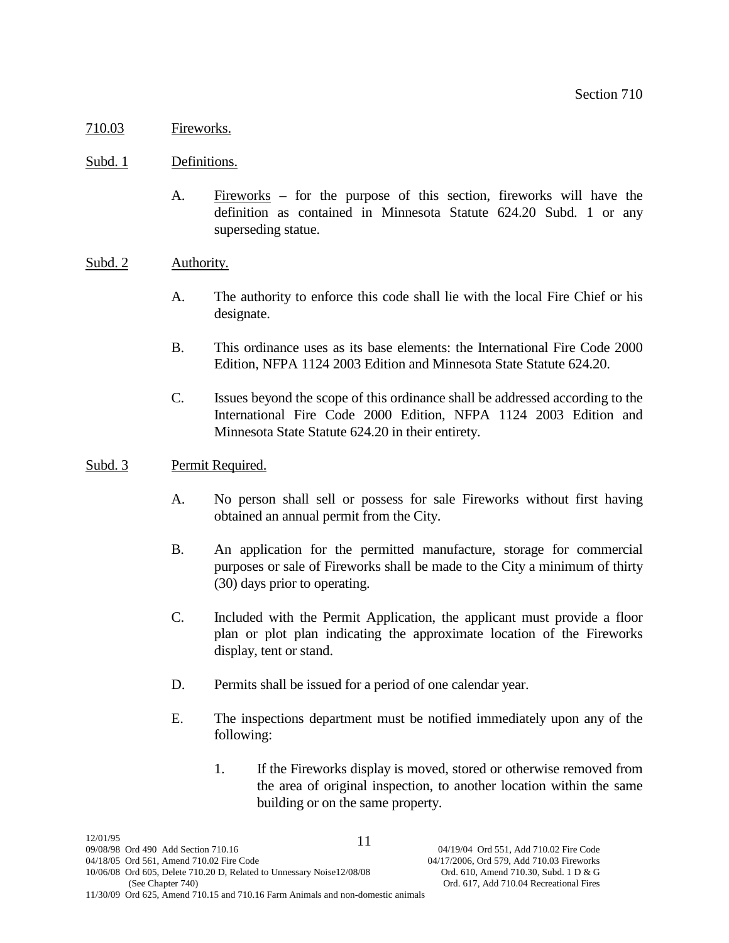# 710.03 Fireworks.

## Subd. 1 Definitions.

A. Fireworks – for the purpose of this section, fireworks will have the definition as contained in Minnesota Statute 624.20 Subd. 1 or any superseding statue.

# Subd. 2 Authority.

- A. The authority to enforce this code shall lie with the local Fire Chief or his designate.
- B. This ordinance uses as its base elements: the International Fire Code 2000 Edition, NFPA 1124 2003 Edition and Minnesota State Statute 624.20.
- C. Issues beyond the scope of this ordinance shall be addressed according to the International Fire Code 2000 Edition, NFPA 1124 2003 Edition and Minnesota State Statute 624.20 in their entirety.

## Subd. 3 Permit Required.

- A. No person shall sell or possess for sale Fireworks without first having obtained an annual permit from the City.
- B. An application for the permitted manufacture, storage for commercial purposes or sale of Fireworks shall be made to the City a minimum of thirty (30) days prior to operating.
- C. Included with the Permit Application, the applicant must provide a floor plan or plot plan indicating the approximate location of the Fireworks display, tent or stand.
- D. Permits shall be issued for a period of one calendar year.
- E. The inspections department must be notified immediately upon any of the following:
	- 1. If the Fireworks display is moved, stored or otherwise removed from the area of original inspection, to another location within the same building or on the same property.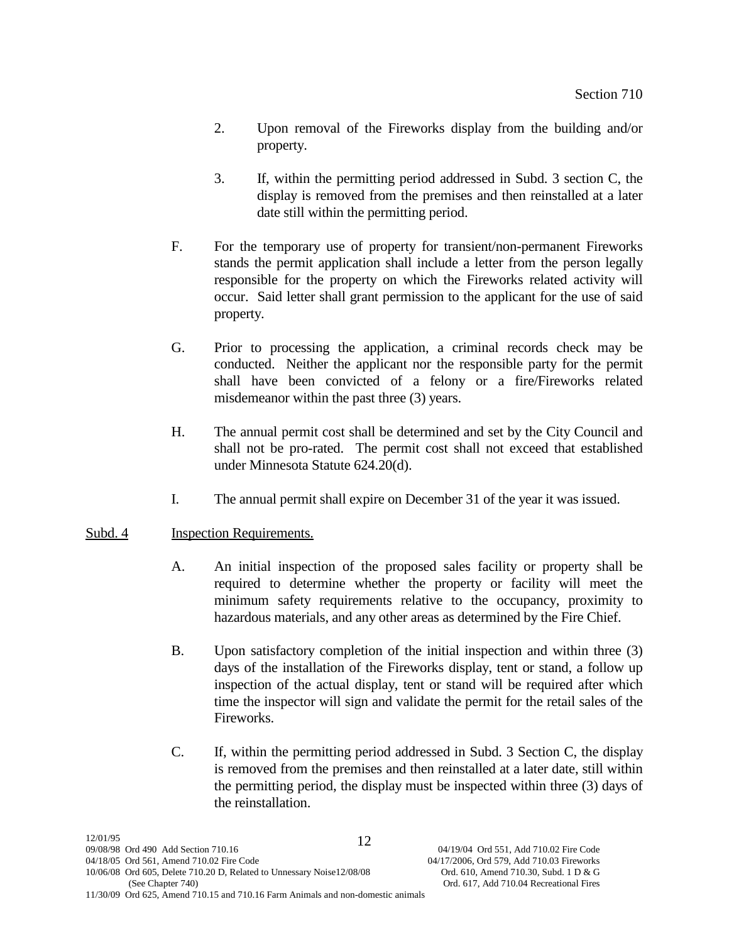- 2. Upon removal of the Fireworks display from the building and/or property.
- 3. If, within the permitting period addressed in Subd. 3 section C, the display is removed from the premises and then reinstalled at a later date still within the permitting period.
- F. For the temporary use of property for transient/non-permanent Fireworks stands the permit application shall include a letter from the person legally responsible for the property on which the Fireworks related activity will occur. Said letter shall grant permission to the applicant for the use of said property.
- G. Prior to processing the application, a criminal records check may be conducted. Neither the applicant nor the responsible party for the permit shall have been convicted of a felony or a fire/Fireworks related misdemeanor within the past three (3) years.
- H. The annual permit cost shall be determined and set by the City Council and shall not be pro-rated. The permit cost shall not exceed that established under Minnesota Statute 624.20(d).
- I. The annual permit shall expire on December 31 of the year it was issued.

# Subd. 4 Inspection Requirements.

- A. An initial inspection of the proposed sales facility or property shall be required to determine whether the property or facility will meet the minimum safety requirements relative to the occupancy, proximity to hazardous materials, and any other areas as determined by the Fire Chief.
- B. Upon satisfactory completion of the initial inspection and within three (3) days of the installation of the Fireworks display, tent or stand, a follow up inspection of the actual display, tent or stand will be required after which time the inspector will sign and validate the permit for the retail sales of the Fireworks.
- C. If, within the permitting period addressed in Subd. 3 Section C, the display is removed from the premises and then reinstalled at a later date, still within the permitting period, the display must be inspected within three (3) days of the reinstallation.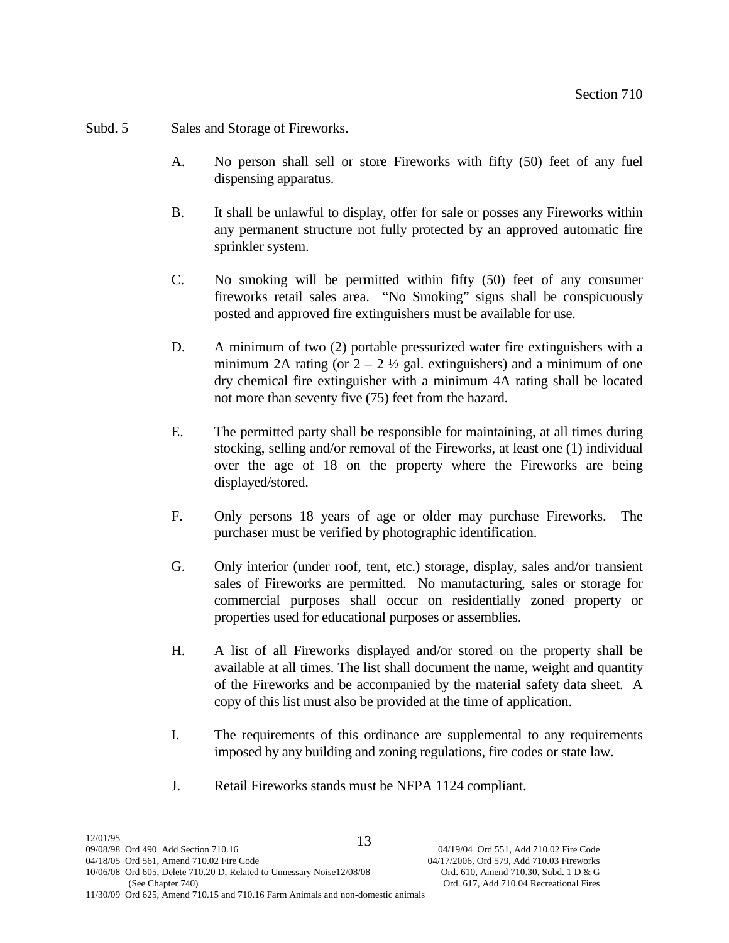# Subd. 5 Sales and Storage of Fireworks.

- A. No person shall sell or store Fireworks with fifty (50) feet of any fuel dispensing apparatus.
- B. It shall be unlawful to display, offer for sale or posses any Fireworks within any permanent structure not fully protected by an approved automatic fire sprinkler system.
- C. No smoking will be permitted within fifty (50) feet of any consumer fireworks retail sales area. "No Smoking" signs shall be conspicuously posted and approved fire extinguishers must be available for use.
- D. A minimum of two (2) portable pressurized water fire extinguishers with a minimum 2A rating (or  $2 - 2 \frac{1}{2}$  gal. extinguishers) and a minimum of one dry chemical fire extinguisher with a minimum 4A rating shall be located not more than seventy five (75) feet from the hazard.
- E. The permitted party shall be responsible for maintaining, at all times during stocking, selling and/or removal of the Fireworks, at least one (1) individual over the age of 18 on the property where the Fireworks are being displayed/stored.
- F. Only persons 18 years of age or older may purchase Fireworks. The purchaser must be verified by photographic identification.
- G. Only interior (under roof, tent, etc.) storage, display, sales and/or transient sales of Fireworks are permitted. No manufacturing, sales or storage for commercial purposes shall occur on residentially zoned property or properties used for educational purposes or assemblies.
- H. A list of all Fireworks displayed and/or stored on the property shall be available at all times. The list shall document the name, weight and quantity of the Fireworks and be accompanied by the material safety data sheet. A copy of this list must also be provided at the time of application.
- I. The requirements of this ordinance are supplemental to any requirements imposed by any building and zoning regulations, fire codes or state law.
- J. Retail Fireworks stands must be NFPA 1124 compliant.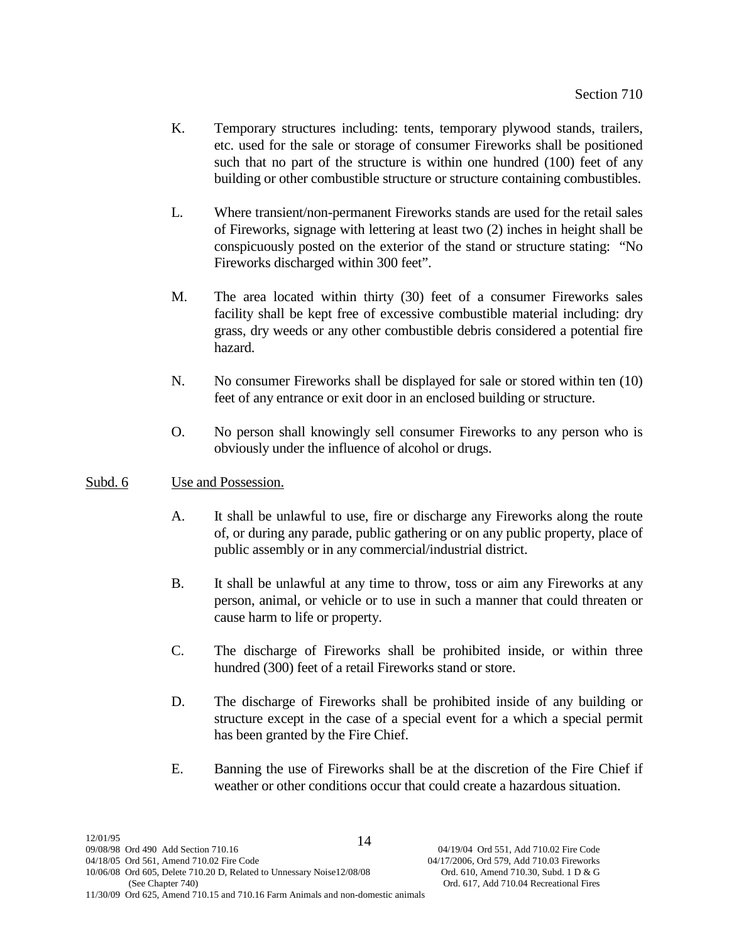- K. Temporary structures including: tents, temporary plywood stands, trailers, etc. used for the sale or storage of consumer Fireworks shall be positioned such that no part of the structure is within one hundred (100) feet of any building or other combustible structure or structure containing combustibles.
- L. Where transient/non-permanent Fireworks stands are used for the retail sales of Fireworks, signage with lettering at least two (2) inches in height shall be conspicuously posted on the exterior of the stand or structure stating: "No Fireworks discharged within 300 feet".
- M. The area located within thirty (30) feet of a consumer Fireworks sales facility shall be kept free of excessive combustible material including: dry grass, dry weeds or any other combustible debris considered a potential fire hazard.
- N. No consumer Fireworks shall be displayed for sale or stored within ten (10) feet of any entrance or exit door in an enclosed building or structure.
- O. No person shall knowingly sell consumer Fireworks to any person who is obviously under the influence of alcohol or drugs.

# Subd. 6 Use and Possession.

- A. It shall be unlawful to use, fire or discharge any Fireworks along the route of, or during any parade, public gathering or on any public property, place of public assembly or in any commercial/industrial district.
- B. It shall be unlawful at any time to throw, toss or aim any Fireworks at any person, animal, or vehicle or to use in such a manner that could threaten or cause harm to life or property.
- C. The discharge of Fireworks shall be prohibited inside, or within three hundred (300) feet of a retail Fireworks stand or store.
- D. The discharge of Fireworks shall be prohibited inside of any building or structure except in the case of a special event for a which a special permit has been granted by the Fire Chief.
- E. Banning the use of Fireworks shall be at the discretion of the Fire Chief if weather or other conditions occur that could create a hazardous situation.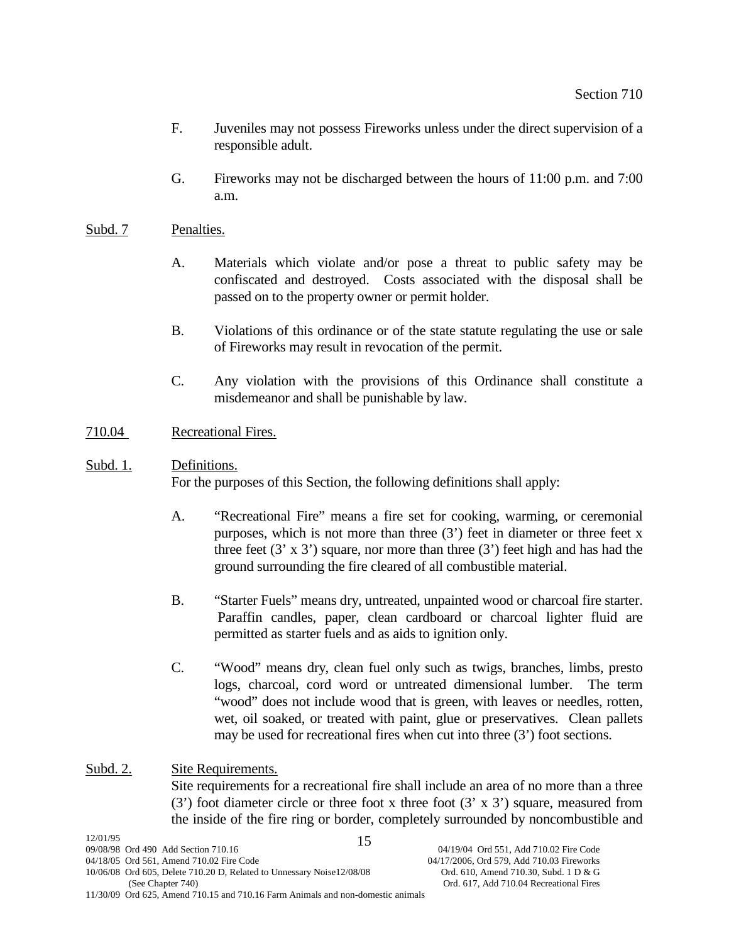- F. Juveniles may not possess Fireworks unless under the direct supervision of a responsible adult.
- G. Fireworks may not be discharged between the hours of 11:00 p.m. and 7:00 a.m.

# Subd. 7 Penalties.

- A. Materials which violate and/or pose a threat to public safety may be confiscated and destroyed. Costs associated with the disposal shall be passed on to the property owner or permit holder.
- B. Violations of this ordinance or of the state statute regulating the use or sale of Fireworks may result in revocation of the permit.
- C. Any violation with the provisions of this Ordinance shall constitute a misdemeanor and shall be punishable by law.

# 710.04 Recreational Fires.

# Subd. 1. Definitions.

For the purposes of this Section, the following definitions shall apply:

- A. "Recreational Fire" means a fire set for cooking, warming, or ceremonial purposes, which is not more than three (3') feet in diameter or three feet x three feet  $(3' \times 3')$  square, nor more than three  $(3')$  feet high and has had the ground surrounding the fire cleared of all combustible material.
- B. "Starter Fuels" means dry, untreated, unpainted wood or charcoal fire starter. Paraffin candles, paper, clean cardboard or charcoal lighter fluid are permitted as starter fuels and as aids to ignition only.
- C. "Wood" means dry, clean fuel only such as twigs, branches, limbs, presto logs, charcoal, cord word or untreated dimensional lumber. The term "wood" does not include wood that is green, with leaves or needles, rotten, wet, oil soaked, or treated with paint, glue or preservatives. Clean pallets may be used for recreational fires when cut into three (3') foot sections.

# Subd. 2. Site Requirements. Site requirements for a recreational fire shall include an area of no more than a three  $(3')$  foot diameter circle or three foot x three foot  $(3' \times 3')$  square, measured from the inside of the fire ring or border, completely surrounded by noncombustible and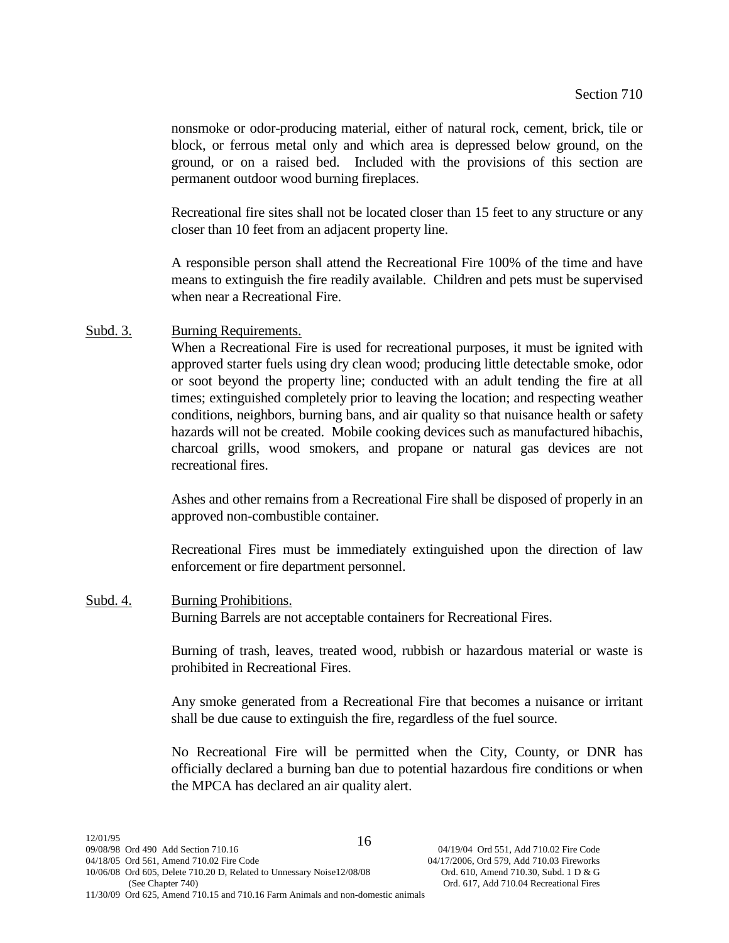nonsmoke or odor-producing material, either of natural rock, cement, brick, tile or block, or ferrous metal only and which area is depressed below ground, on the ground, or on a raised bed. Included with the provisions of this section are permanent outdoor wood burning fireplaces.

Recreational fire sites shall not be located closer than 15 feet to any structure or any closer than 10 feet from an adjacent property line.

A responsible person shall attend the Recreational Fire 100% of the time and have means to extinguish the fire readily available. Children and pets must be supervised when near a Recreational Fire.

Subd. 3. Burning Requirements.

When a Recreational Fire is used for recreational purposes, it must be ignited with approved starter fuels using dry clean wood; producing little detectable smoke, odor or soot beyond the property line; conducted with an adult tending the fire at all times; extinguished completely prior to leaving the location; and respecting weather conditions, neighbors, burning bans, and air quality so that nuisance health or safety hazards will not be created. Mobile cooking devices such as manufactured hibachis, charcoal grills, wood smokers, and propane or natural gas devices are not recreational fires.

Ashes and other remains from a Recreational Fire shall be disposed of properly in an approved non-combustible container.

Recreational Fires must be immediately extinguished upon the direction of law enforcement or fire department personnel.

Subd. 4. Burning Prohibitions. Burning Barrels are not acceptable containers for Recreational Fires.

> Burning of trash, leaves, treated wood, rubbish or hazardous material or waste is prohibited in Recreational Fires.

> Any smoke generated from a Recreational Fire that becomes a nuisance or irritant shall be due cause to extinguish the fire, regardless of the fuel source.

> No Recreational Fire will be permitted when the City, County, or DNR has officially declared a burning ban due to potential hazardous fire conditions or when the MPCA has declared an air quality alert.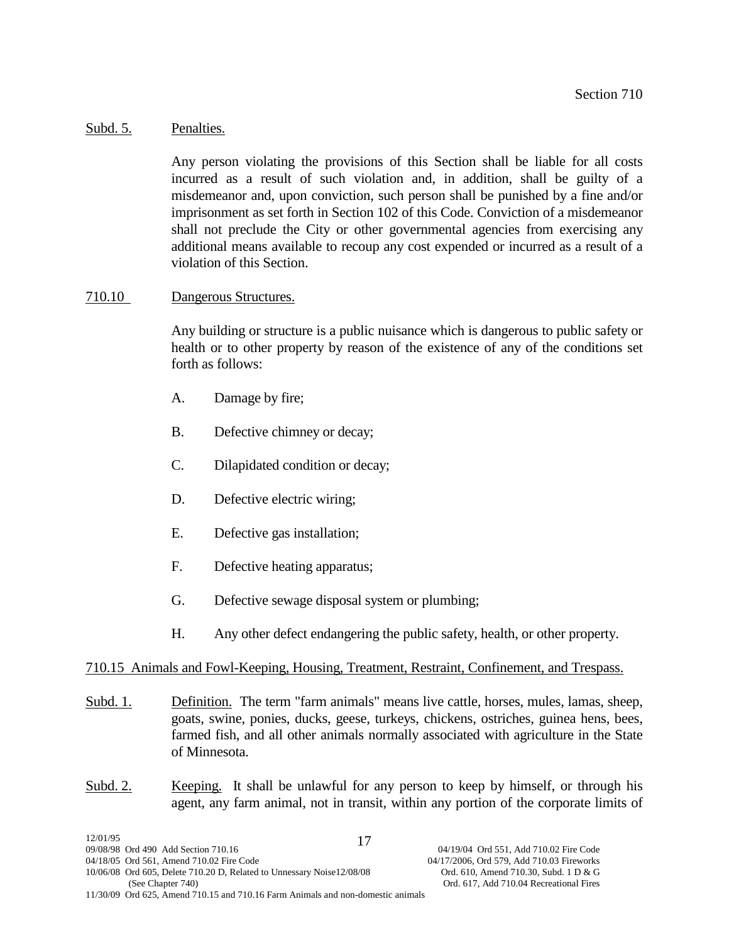## Subd. 5. Penalties.

Any person violating the provisions of this Section shall be liable for all costs incurred as a result of such violation and, in addition, shall be guilty of a misdemeanor and, upon conviction, such person shall be punished by a fine and/or imprisonment as set forth in Section 102 of this Code. Conviction of a misdemeanor shall not preclude the City or other governmental agencies from exercising any additional means available to recoup any cost expended or incurred as a result of a violation of this Section.

# 710.10 Dangerous Structures.

Any building or structure is a public nuisance which is dangerous to public safety or health or to other property by reason of the existence of any of the conditions set forth as follows:

- A. Damage by fire;
- B. Defective chimney or decay;
- C. Dilapidated condition or decay;
- D. Defective electric wiring;
- E. Defective gas installation;
- F. Defective heating apparatus;
- G. Defective sewage disposal system or plumbing;
- H. Any other defect endangering the public safety, health, or other property.

# 710.15 Animals and Fowl-Keeping, Housing, Treatment, Restraint, Confinement, and Trespass.

- Subd. 1. Definition. The term "farm animals" means live cattle, horses, mules, lamas, sheep, goats, swine, ponies, ducks, geese, turkeys, chickens, ostriches, guinea hens, bees, farmed fish, and all other animals normally associated with agriculture in the State of Minnesota.
- Subd. 2. Keeping. It shall be unlawful for any person to keep by himself, or through his agent, any farm animal, not in transit, within any portion of the corporate limits of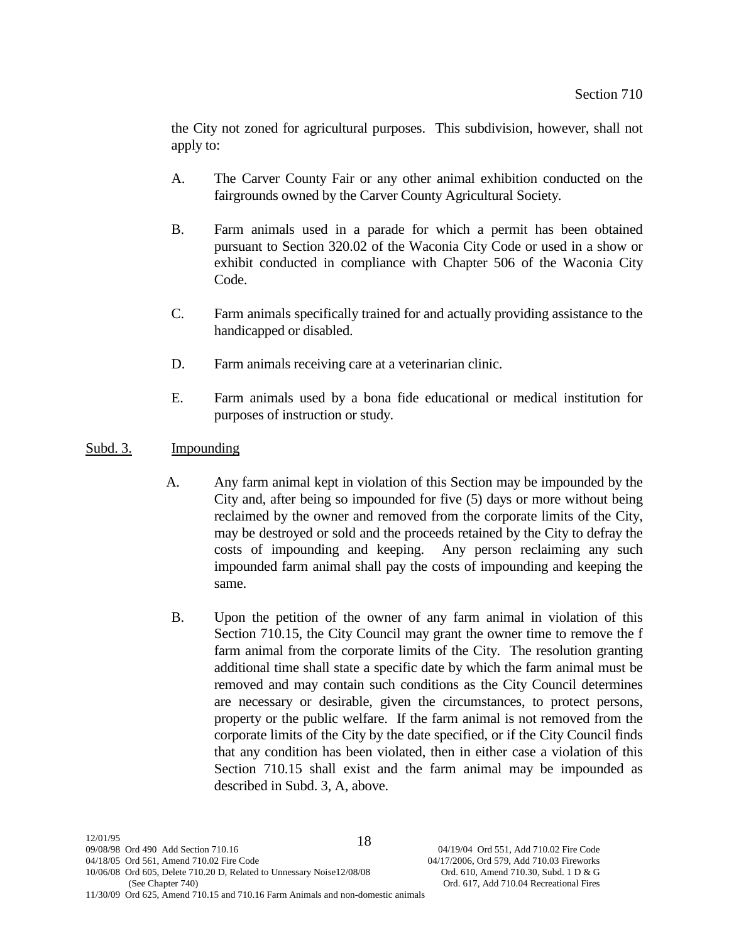the City not zoned for agricultural purposes. This subdivision, however, shall not apply to:

- A. The Carver County Fair or any other animal exhibition conducted on the fairgrounds owned by the Carver County Agricultural Society.
- B. Farm animals used in a parade for which a permit has been obtained pursuant to Section 320.02 of the Waconia City Code or used in a show or exhibit conducted in compliance with Chapter 506 of the Waconia City Code.
- C. Farm animals specifically trained for and actually providing assistance to the handicapped or disabled.
- D. Farm animals receiving care at a veterinarian clinic.
- E. Farm animals used by a bona fide educational or medical institution for purposes of instruction or study.

# Subd. 3. Impounding

- A. Any farm animal kept in violation of this Section may be impounded by the City and, after being so impounded for five (5) days or more without being reclaimed by the owner and removed from the corporate limits of the City, may be destroyed or sold and the proceeds retained by the City to defray the costs of impounding and keeping. Any person reclaiming any such impounded farm animal shall pay the costs of impounding and keeping the same.
- B. Upon the petition of the owner of any farm animal in violation of this Section 710.15, the City Council may grant the owner time to remove the f farm animal from the corporate limits of the City. The resolution granting additional time shall state a specific date by which the farm animal must be removed and may contain such conditions as the City Council determines are necessary or desirable, given the circumstances, to protect persons, property or the public welfare. If the farm animal is not removed from the corporate limits of the City by the date specified, or if the City Council finds that any condition has been violated, then in either case a violation of this Section 710.15 shall exist and the farm animal may be impounded as described in Subd. 3, A, above.

11/30/09 Ord 625, Amend 710.15 and 710.16 Farm Animals and non-domestic animals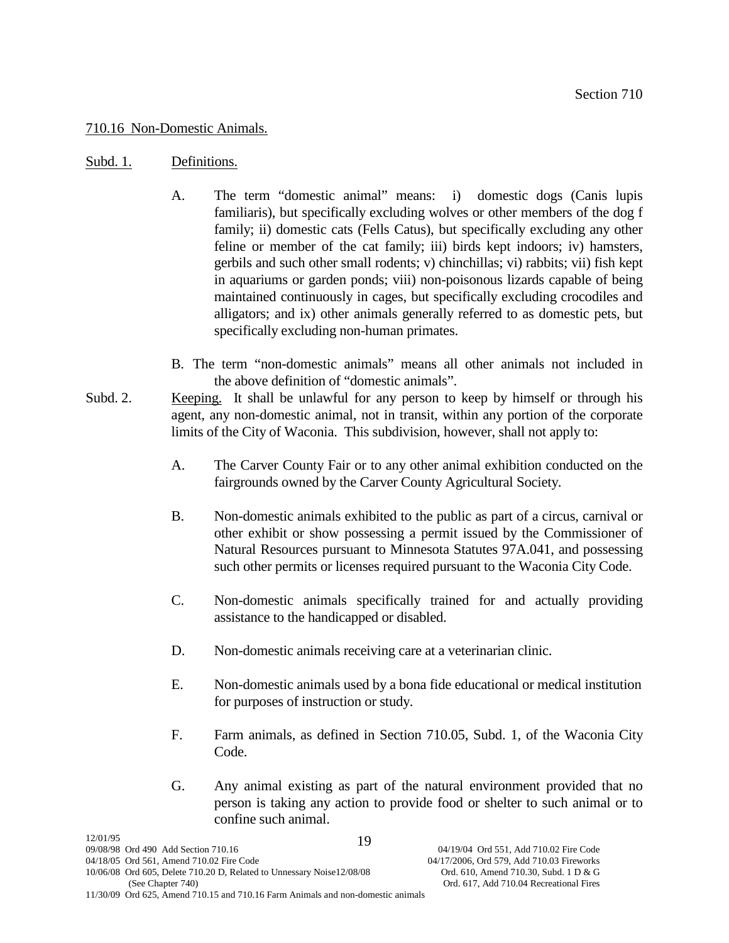## 710.16 Non-Domestic Animals.

## Subd. 1. Definitions.

- A. The term "domestic animal" means: i) domestic dogs (Canis lupis familiaris), but specifically excluding wolves or other members of the dog f family; ii) domestic cats (Fells Catus), but specifically excluding any other feline or member of the cat family; iii) birds kept indoors; iv) hamsters, gerbils and such other small rodents; v) chinchillas; vi) rabbits; vii) fish kept in aquariums or garden ponds; viii) non-poisonous lizards capable of being maintained continuously in cages, but specifically excluding crocodiles and alligators; and ix) other animals generally referred to as domestic pets, but specifically excluding non-human primates.
- B. The term "non-domestic animals" means all other animals not included in the above definition of "domestic animals".
- Subd. 2. Keeping. It shall be unlawful for any person to keep by himself or through his agent, any non-domestic animal, not in transit, within any portion of the corporate limits of the City of Waconia. This subdivision, however, shall not apply to:
	- A. The Carver County Fair or to any other animal exhibition conducted on the fairgrounds owned by the Carver County Agricultural Society.
	- B. Non-domestic animals exhibited to the public as part of a circus, carnival or other exhibit or show possessing a permit issued by the Commissioner of Natural Resources pursuant to Minnesota Statutes 97A.041, and possessing such other permits or licenses required pursuant to the Waconia City Code.
	- C. Non-domestic animals specifically trained for and actually providing assistance to the handicapped or disabled.
	- D. Non-domestic animals receiving care at a veterinarian clinic.
	- E. Non-domestic animals used by a bona fide educational or medical institution for purposes of instruction or study.
	- F. Farm animals, as defined in Section 710.05, Subd. 1, of the Waconia City Code.
	- G. Any animal existing as part of the natural environment provided that no person is taking any action to provide food or shelter to such animal or to confine such animal.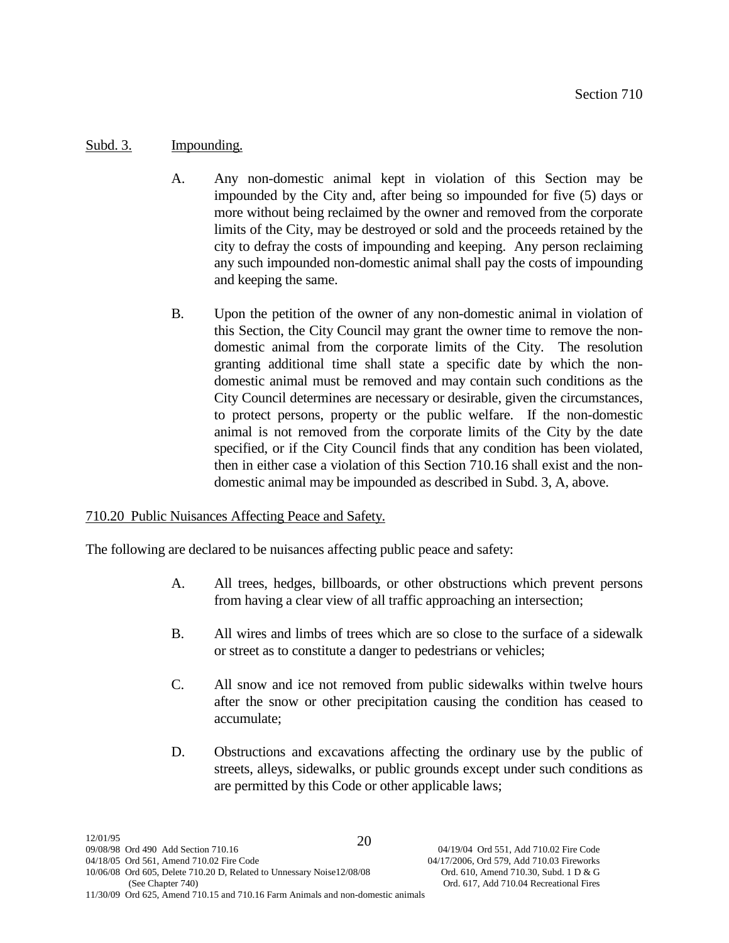# Subd. 3. Impounding.

- A. Any non-domestic animal kept in violation of this Section may be impounded by the City and, after being so impounded for five (5) days or more without being reclaimed by the owner and removed from the corporate limits of the City, may be destroyed or sold and the proceeds retained by the city to defray the costs of impounding and keeping. Any person reclaiming any such impounded non-domestic animal shall pay the costs of impounding and keeping the same.
- B. Upon the petition of the owner of any non-domestic animal in violation of this Section, the City Council may grant the owner time to remove the nondomestic animal from the corporate limits of the City. The resolution granting additional time shall state a specific date by which the nondomestic animal must be removed and may contain such conditions as the City Council determines are necessary or desirable, given the circumstances, to protect persons, property or the public welfare. If the non-domestic animal is not removed from the corporate limits of the City by the date specified, or if the City Council finds that any condition has been violated, then in either case a violation of this Section 710.16 shall exist and the nondomestic animal may be impounded as described in Subd. 3, A, above.

# 710.20 Public Nuisances Affecting Peace and Safety.

The following are declared to be nuisances affecting public peace and safety:

- A. All trees, hedges, billboards, or other obstructions which prevent persons from having a clear view of all traffic approaching an intersection;
- B. All wires and limbs of trees which are so close to the surface of a sidewalk or street as to constitute a danger to pedestrians or vehicles;
- C. All snow and ice not removed from public sidewalks within twelve hours after the snow or other precipitation causing the condition has ceased to accumulate;
- D. Obstructions and excavations affecting the ordinary use by the public of streets, alleys, sidewalks, or public grounds except under such conditions as are permitted by this Code or other applicable laws;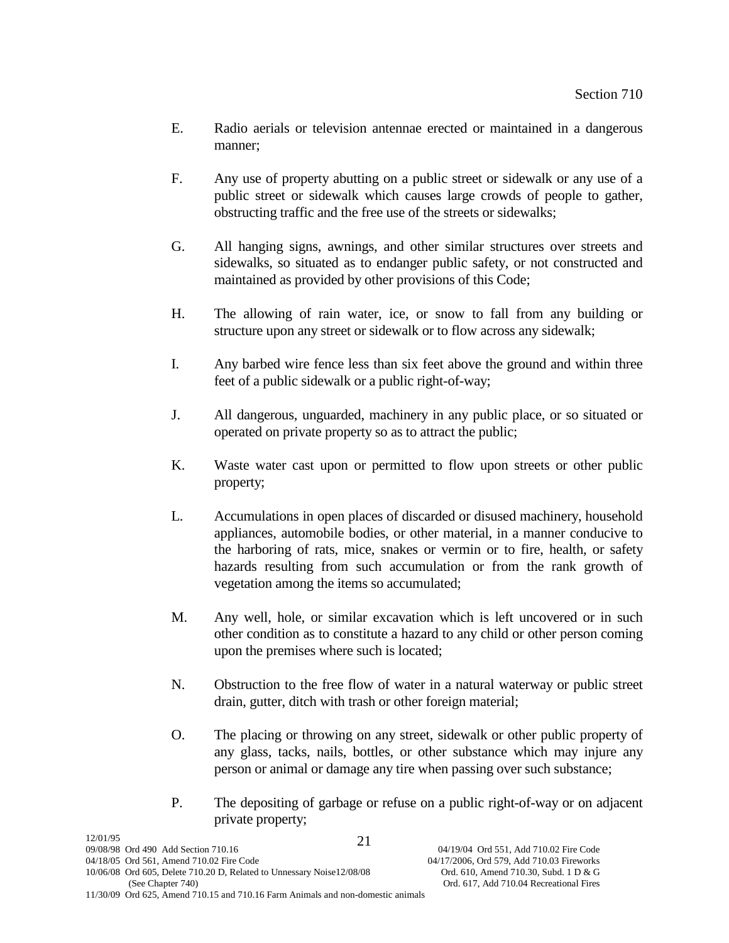- E. Radio aerials or television antennae erected or maintained in a dangerous manner;
- F. Any use of property abutting on a public street or sidewalk or any use of a public street or sidewalk which causes large crowds of people to gather, obstructing traffic and the free use of the streets or sidewalks;
- G. All hanging signs, awnings, and other similar structures over streets and sidewalks, so situated as to endanger public safety, or not constructed and maintained as provided by other provisions of this Code;
- H. The allowing of rain water, ice, or snow to fall from any building or structure upon any street or sidewalk or to flow across any sidewalk;
- I. Any barbed wire fence less than six feet above the ground and within three feet of a public sidewalk or a public right-of-way;
- J. All dangerous, unguarded, machinery in any public place, or so situated or operated on private property so as to attract the public;
- K. Waste water cast upon or permitted to flow upon streets or other public property;
- L. Accumulations in open places of discarded or disused machinery, household appliances, automobile bodies, or other material, in a manner conducive to the harboring of rats, mice, snakes or vermin or to fire, health, or safety hazards resulting from such accumulation or from the rank growth of vegetation among the items so accumulated;
- M. Any well, hole, or similar excavation which is left uncovered or in such other condition as to constitute a hazard to any child or other person coming upon the premises where such is located;
- N. Obstruction to the free flow of water in a natural waterway or public street drain, gutter, ditch with trash or other foreign material;
- O. The placing or throwing on any street, sidewalk or other public property of any glass, tacks, nails, bottles, or other substance which may injure any person or animal or damage any tire when passing over such substance;
- P. The depositing of garbage or refuse on a public right-of-way or on adjacent private property;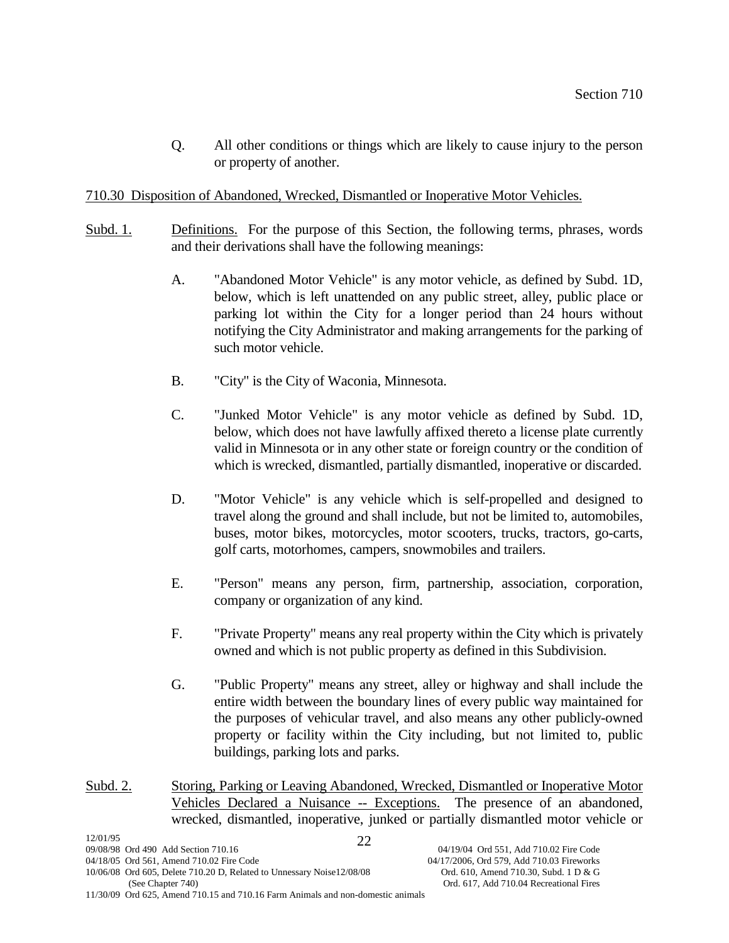Q. All other conditions or things which are likely to cause injury to the person or property of another.

# 710.30 Disposition of Abandoned, Wrecked, Dismantled or Inoperative Motor Vehicles.

- Subd. 1. Definitions. For the purpose of this Section, the following terms, phrases, words and their derivations shall have the following meanings:
	- A. "Abandoned Motor Vehicle" is any motor vehicle, as defined by Subd. 1D, below, which is left unattended on any public street, alley, public place or parking lot within the City for a longer period than 24 hours without notifying the City Administrator and making arrangements for the parking of such motor vehicle.
	- B. "City" is the City of Waconia, Minnesota.
	- C. "Junked Motor Vehicle" is any motor vehicle as defined by Subd. 1D, below, which does not have lawfully affixed thereto a license plate currently valid in Minnesota or in any other state or foreign country or the condition of which is wrecked, dismantled, partially dismantled, inoperative or discarded.
	- D. "Motor Vehicle" is any vehicle which is self-propelled and designed to travel along the ground and shall include, but not be limited to, automobiles, buses, motor bikes, motorcycles, motor scooters, trucks, tractors, go-carts, golf carts, motorhomes, campers, snowmobiles and trailers.
	- E. "Person" means any person, firm, partnership, association, corporation, company or organization of any kind.
	- F. "Private Property" means any real property within the City which is privately owned and which is not public property as defined in this Subdivision.
	- G. "Public Property" means any street, alley or highway and shall include the entire width between the boundary lines of every public way maintained for the purposes of vehicular travel, and also means any other publicly-owned property or facility within the City including, but not limited to, public buildings, parking lots and parks.
- Subd. 2. Storing, Parking or Leaving Abandoned, Wrecked, Dismantled or Inoperative Motor Vehicles Declared a Nuisance -- Exceptions. The presence of an abandoned, wrecked, dismantled, inoperative, junked or partially dismantled motor vehicle or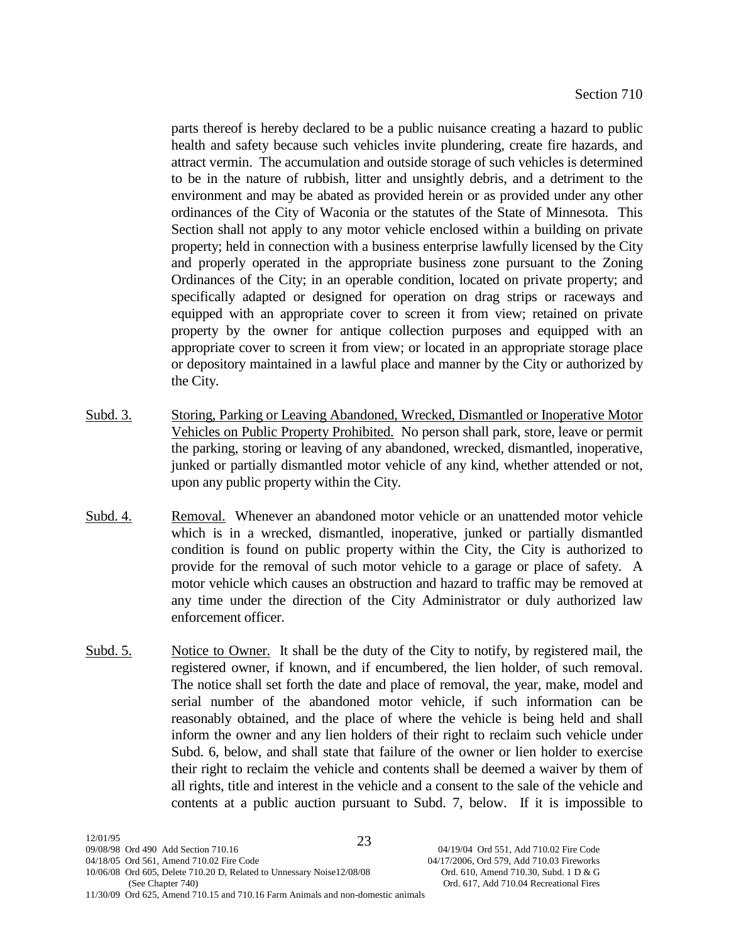parts thereof is hereby declared to be a public nuisance creating a hazard to public health and safety because such vehicles invite plundering, create fire hazards, and attract vermin. The accumulation and outside storage of such vehicles is determined to be in the nature of rubbish, litter and unsightly debris, and a detriment to the environment and may be abated as provided herein or as provided under any other ordinances of the City of Waconia or the statutes of the State of Minnesota. This Section shall not apply to any motor vehicle enclosed within a building on private property; held in connection with a business enterprise lawfully licensed by the City and properly operated in the appropriate business zone pursuant to the Zoning Ordinances of the City; in an operable condition, located on private property; and specifically adapted or designed for operation on drag strips or raceways and equipped with an appropriate cover to screen it from view; retained on private property by the owner for antique collection purposes and equipped with an appropriate cover to screen it from view; or located in an appropriate storage place or depository maintained in a lawful place and manner by the City or authorized by the City.

- Subd. 3. Storing, Parking or Leaving Abandoned, Wrecked, Dismantled or Inoperative Motor Vehicles on Public Property Prohibited. No person shall park, store, leave or permit the parking, storing or leaving of any abandoned, wrecked, dismantled, inoperative, junked or partially dismantled motor vehicle of any kind, whether attended or not, upon any public property within the City.
- Subd. 4. Removal. Whenever an abandoned motor vehicle or an unattended motor vehicle which is in a wrecked, dismantled, inoperative, junked or partially dismantled condition is found on public property within the City, the City is authorized to provide for the removal of such motor vehicle to a garage or place of safety. A motor vehicle which causes an obstruction and hazard to traffic may be removed at any time under the direction of the City Administrator or duly authorized law enforcement officer.
- Subd. 5. Notice to Owner. It shall be the duty of the City to notify, by registered mail, the registered owner, if known, and if encumbered, the lien holder, of such removal. The notice shall set forth the date and place of removal, the year, make, model and serial number of the abandoned motor vehicle, if such information can be reasonably obtained, and the place of where the vehicle is being held and shall inform the owner and any lien holders of their right to reclaim such vehicle under Subd. 6, below, and shall state that failure of the owner or lien holder to exercise their right to reclaim the vehicle and contents shall be deemed a waiver by them of all rights, title and interest in the vehicle and a consent to the sale of the vehicle and contents at a public auction pursuant to Subd. 7, below. If it is impossible to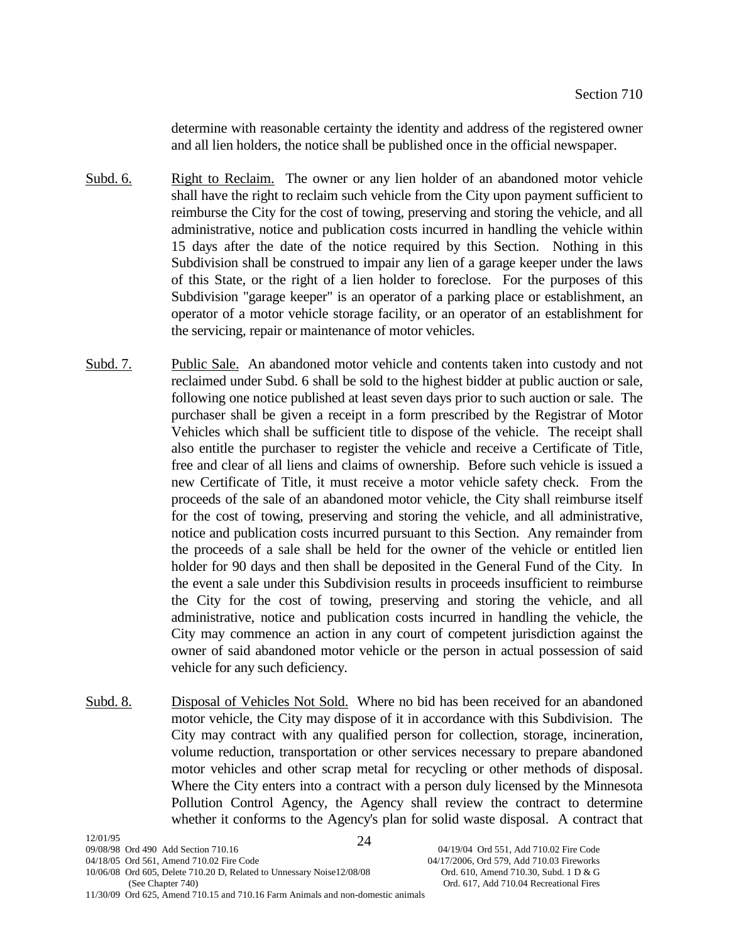determine with reasonable certainty the identity and address of the registered owner and all lien holders, the notice shall be published once in the official newspaper.

- Subd. 6. Right to Reclaim. The owner or any lien holder of an abandoned motor vehicle shall have the right to reclaim such vehicle from the City upon payment sufficient to reimburse the City for the cost of towing, preserving and storing the vehicle, and all administrative, notice and publication costs incurred in handling the vehicle within 15 days after the date of the notice required by this Section. Nothing in this Subdivision shall be construed to impair any lien of a garage keeper under the laws of this State, or the right of a lien holder to foreclose. For the purposes of this Subdivision "garage keeper" is an operator of a parking place or establishment, an operator of a motor vehicle storage facility, or an operator of an establishment for the servicing, repair or maintenance of motor vehicles.
- Subd. 7. Public Sale. An abandoned motor vehicle and contents taken into custody and not reclaimed under Subd. 6 shall be sold to the highest bidder at public auction or sale, following one notice published at least seven days prior to such auction or sale. The purchaser shall be given a receipt in a form prescribed by the Registrar of Motor Vehicles which shall be sufficient title to dispose of the vehicle. The receipt shall also entitle the purchaser to register the vehicle and receive a Certificate of Title, free and clear of all liens and claims of ownership. Before such vehicle is issued a new Certificate of Title, it must receive a motor vehicle safety check. From the proceeds of the sale of an abandoned motor vehicle, the City shall reimburse itself for the cost of towing, preserving and storing the vehicle, and all administrative, notice and publication costs incurred pursuant to this Section. Any remainder from the proceeds of a sale shall be held for the owner of the vehicle or entitled lien holder for 90 days and then shall be deposited in the General Fund of the City. In the event a sale under this Subdivision results in proceeds insufficient to reimburse the City for the cost of towing, preserving and storing the vehicle, and all administrative, notice and publication costs incurred in handling the vehicle, the City may commence an action in any court of competent jurisdiction against the owner of said abandoned motor vehicle or the person in actual possession of said vehicle for any such deficiency.
- Subd. 8. Disposal of Vehicles Not Sold. Where no bid has been received for an abandoned motor vehicle, the City may dispose of it in accordance with this Subdivision. The City may contract with any qualified person for collection, storage, incineration, volume reduction, transportation or other services necessary to prepare abandoned motor vehicles and other scrap metal for recycling or other methods of disposal. Where the City enters into a contract with a person duly licensed by the Minnesota Pollution Control Agency, the Agency shall review the contract to determine whether it conforms to the Agency's plan for solid waste disposal. A contract that